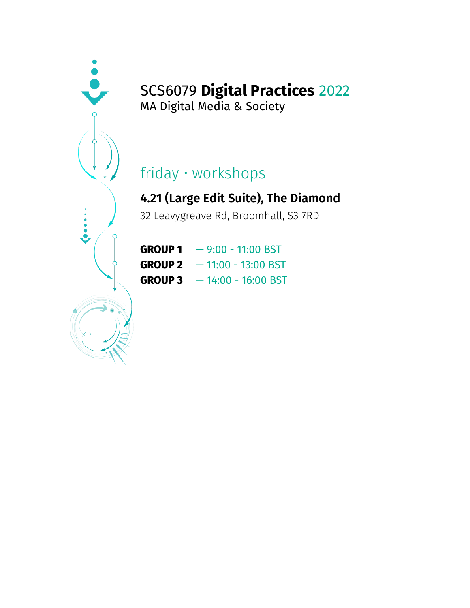MA Digital Media & Society

# friday • workshops

#### **4.21 (Large Edit Suite), The Diamond**

32 Leavygreave Rd, Broomhall, S3 7RD

| <b>GROUP 1</b> | $-9:00 - 11:00$ BST  |
|----------------|----------------------|
| <b>GROUP 2</b> | $-11:00 - 13:00$ BST |
| <b>GROUP 3</b> | $-14:00 - 16:00$ BST |

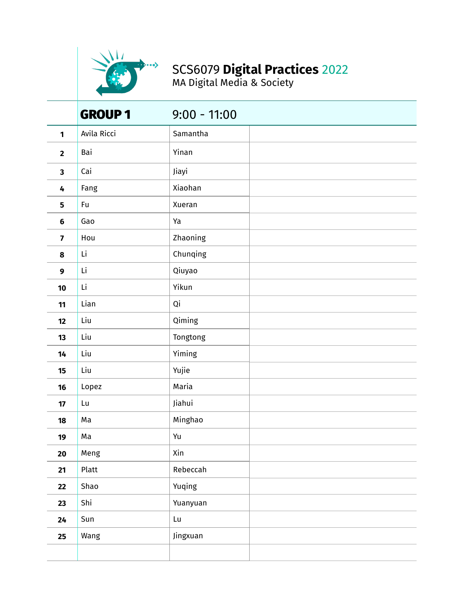

MA Digital Media & Society

|                         | <b>GROUP 1</b> | $9:00 - 11:00$         |  |
|-------------------------|----------------|------------------------|--|
| 1                       | Avila Ricci    | Samantha               |  |
| $\mathbf{2}$            | Bai            | Yinan                  |  |
| $\overline{\mathbf{3}}$ | Cai            | Jiayi                  |  |
| 4                       | Fang           | Xiaohan                |  |
| 5                       | Fu             | Xueran                 |  |
| $6\phantom{1}6$         | Gao            | Ya                     |  |
| $\overline{\mathbf{z}}$ | Hou            | Zhaoning               |  |
| 8                       | Li             | Chunqing               |  |
| 9                       | Li             | Qiuyao                 |  |
| 10                      | Li             | Yikun                  |  |
| 11                      | Lian           | Qi                     |  |
| 12                      | Liu            | Qiming                 |  |
| 13                      | Liu            | Tongtong               |  |
| 14                      | Liu            | Yiming                 |  |
| 15                      | Liu            | Yujie                  |  |
| 16                      | Lopez          | Maria                  |  |
| 17                      | Lu             | Jiahui                 |  |
| 18                      | Ma             | Minghao                |  |
| 19                      | Ma             | Yu                     |  |
| 20                      | Meng           | Xin                    |  |
| 21                      | Platt          | Rebeccah               |  |
| 22                      | Shao           | Yuqing                 |  |
| 23                      | Shi            | Yuanyuan               |  |
| 24                      | Sun            | $\mathsf{L}\mathsf{u}$ |  |
| 25                      | Wang           | Jingxuan               |  |
|                         |                |                        |  |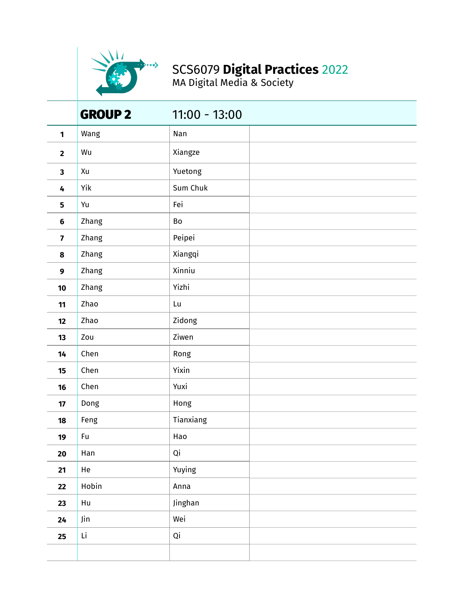

MA Digital Media & Society

|                         | <b>GROUP 2</b> | $11:00 - 13:00$ |  |
|-------------------------|----------------|-----------------|--|
| 1                       | Wang           | Nan             |  |
| $\overline{\mathbf{2}}$ | Wu             | Xiangze         |  |
| $\overline{\mathbf{3}}$ | Xu             | Yuetong         |  |
| 4                       | Yik            | Sum Chuk        |  |
| 5                       | Yu             | Fei             |  |
| $\boldsymbol{6}$        | Zhang          | Bo              |  |
| $\overline{\mathbf{z}}$ | Zhang          | Peipei          |  |
| 8                       | Zhang          | Xiangqi         |  |
| 9                       | Zhang          | Xinniu          |  |
| 10                      | Zhang          | Yizhi           |  |
| 11                      | Zhao           | Lu              |  |
| 12                      | Zhao           | Zidong          |  |
| 13                      | Zou            | Ziwen           |  |
| 14                      | Chen           | Rong            |  |
| 15                      | Chen           | Yixin           |  |
| 16                      | Chen           | Yuxi            |  |
| 17                      | Dong           | Hong            |  |
| 18                      | Feng           | Tianxiang       |  |
| 19                      | Fu             | Hao             |  |
| 20                      | Han            | Qi              |  |
| 21                      | He             | Yuying          |  |
| 22                      | Hobin          | Anna            |  |
| 23                      | Hu             | Jinghan         |  |
| 24                      | Jin            | Wei             |  |
| 25                      | Li             | Qi              |  |
|                         |                |                 |  |